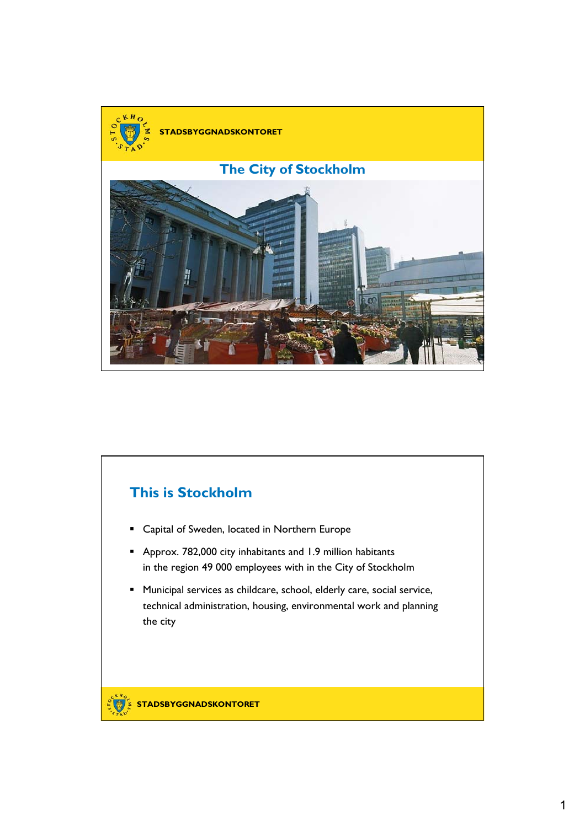

## **This is Stockholm**

- Capital of Sweden, located in Northern Europe
- Approx. 782,000 city inhabitants and 1.9 million habitants in the region 49 000 employees with in the City of Stockholm
- Municipal services as childcare, school, elderly care, social service, technical administration, housing, environmental work and planning the city

**STADSBYGGNADSKONTORET**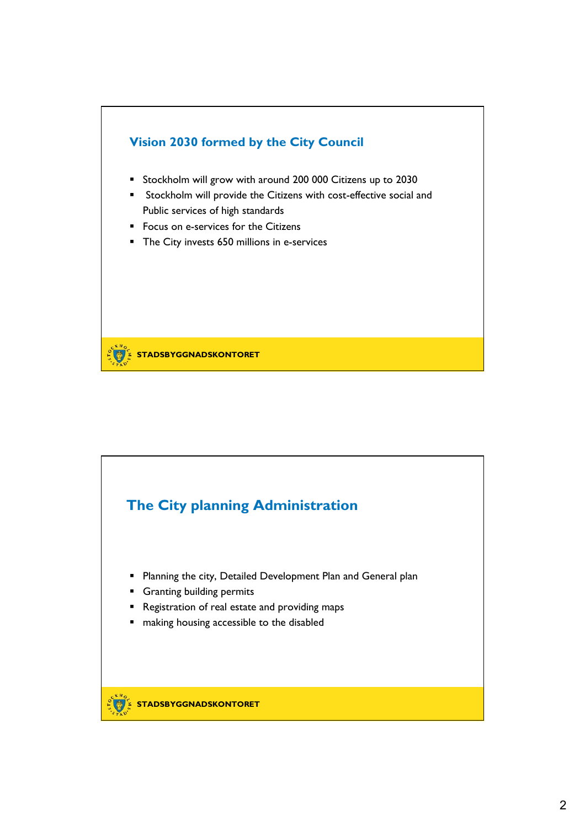

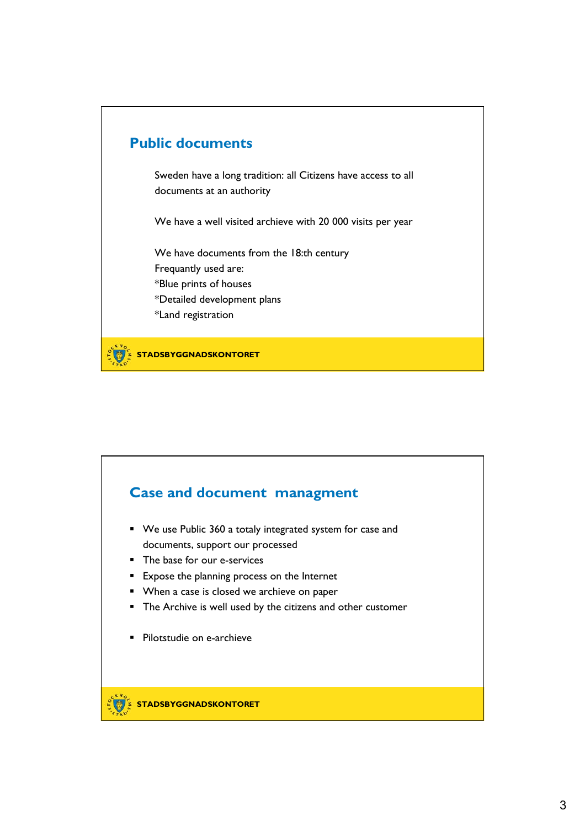

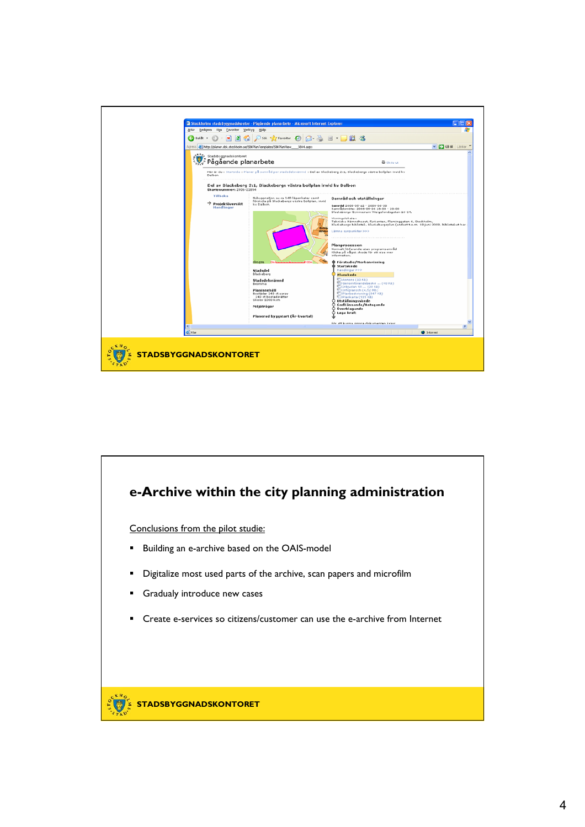

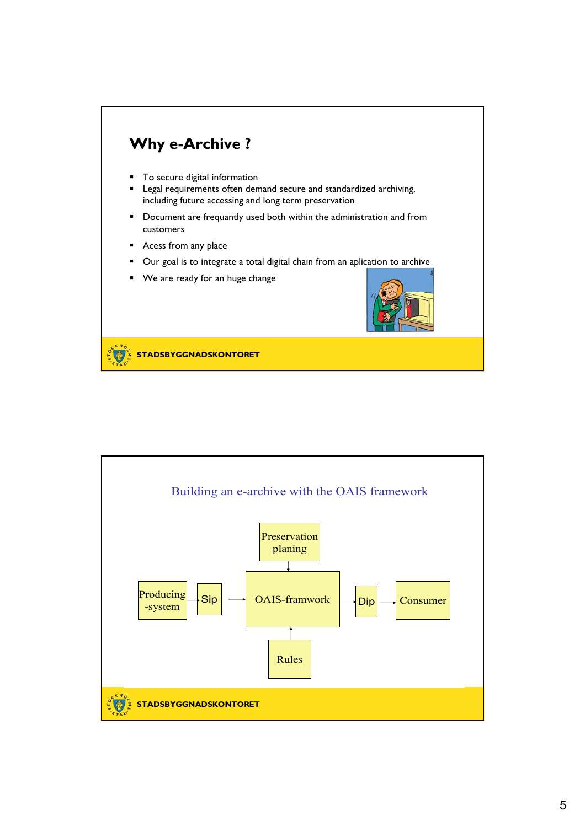

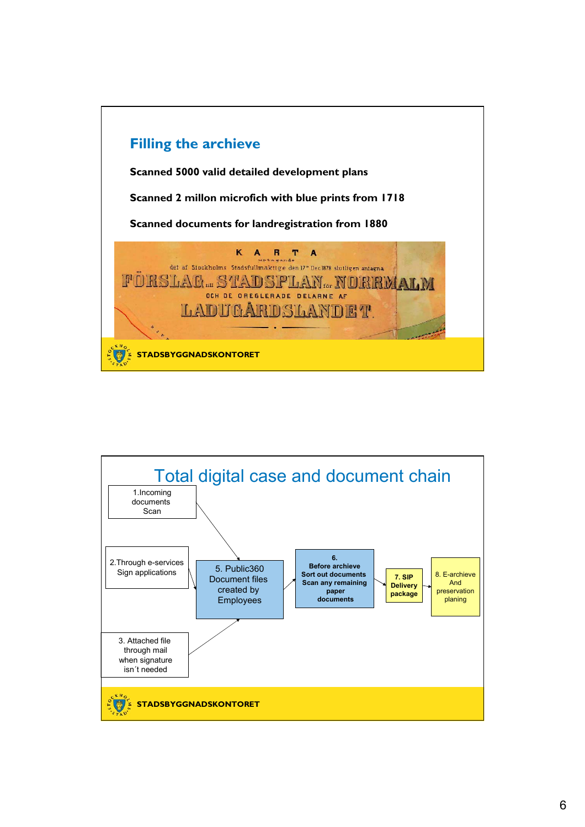